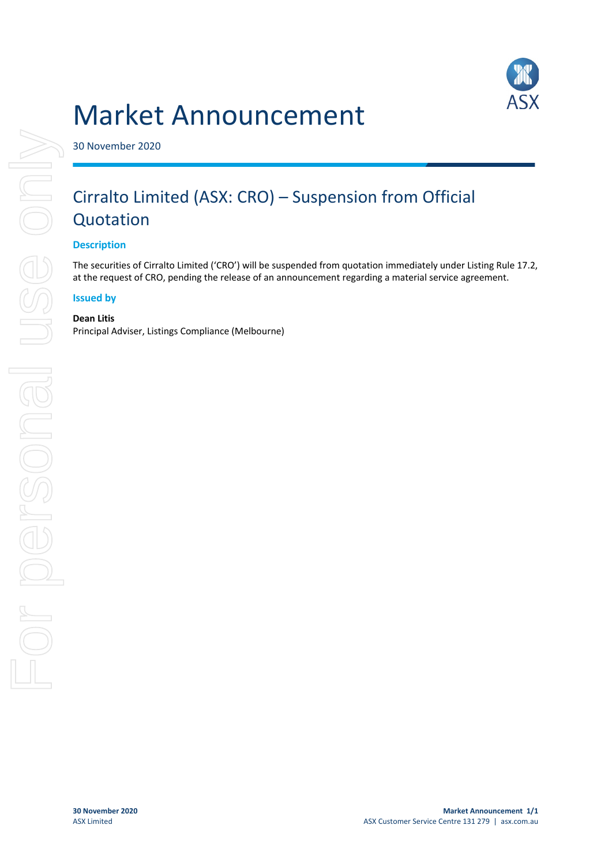# Market Announcement



30 November 2020

## Cirralto Limited (ASX: CRO) – Suspension from Official Quotation

#### **Description**

The securities of Cirralto Limited ('CRO') will be suspended from quotation immediately under Listing Rule 17.2, at the request of CRO, pending the release of an announcement regarding a material service agreement.

#### **Issued by**

#### **Dean Litis**

Principal Adviser, Listings Compliance (Melbourne)